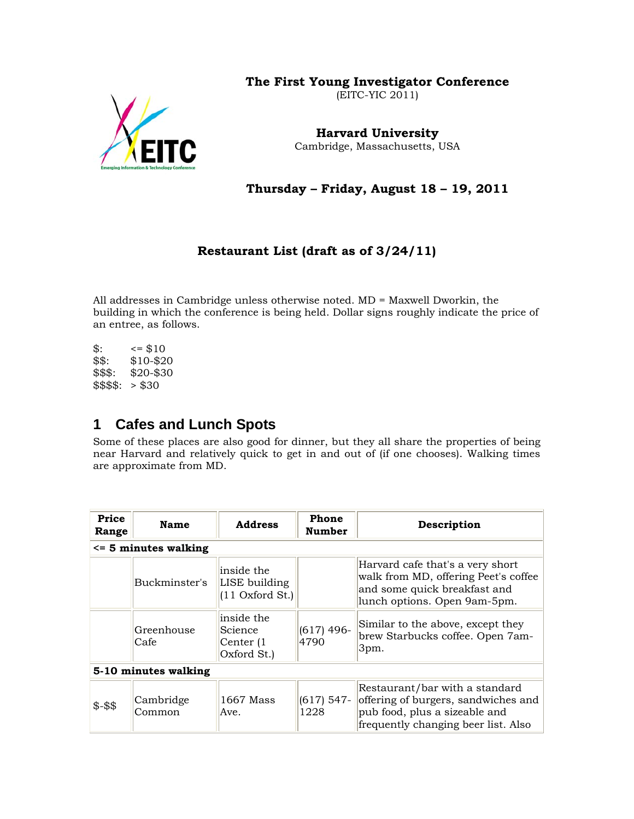#### **The First Young Investigator Conference**

(EITC-YIC 2011)



**Harvard University**  Cambridge, Massachusetts, USA

**Thursday – Friday, August 18 – 19, 2011** 

#### **Restaurant List (draft as of 3/24/11)**

All addresses in Cambridge unless otherwise noted. MD = Maxwell Dworkin, the building in which the conference is being held. Dollar signs roughly indicate the price of an entree, as follows.

 $\$\colon$   $\leq$   $\$\10$ \$\$: \$10-\$20 \$\$\$: \$20-\$30  $$$$: > $30$ 

#### **1 Cafes and Lunch Spots**

Some of these places are also good for dinner, but they all share the properties of being near Harvard and relatively quick to get in and out of (if one chooses). Walking times are approximate from MD.

| Price<br>Range       | <b>Name</b>             | <b>Address</b>                                    | Phone<br>Number      | Description                                                                                                                                   |  |  |  |
|----------------------|-------------------------|---------------------------------------------------|----------------------|-----------------------------------------------------------------------------------------------------------------------------------------------|--|--|--|
|                      | $\le$ 5 minutes walking |                                                   |                      |                                                                                                                                               |  |  |  |
|                      | Buckminster's           | inside the<br>LISE building<br>$(11$ Oxford St.)  |                      | Harvard cafe that's a very short<br>walk from MD, offering Peet's coffee<br>and some quick breakfast and<br>lunch options. Open 9am-5pm.      |  |  |  |
|                      | Greenhouse<br>Cafe      | inside the<br>Science<br>Center (1<br>Oxford St.) | $(617)$ 496-<br>4790 | Similar to the above, except they<br>brew Starbucks coffee. Open 7am-<br>3pm.                                                                 |  |  |  |
| 5-10 minutes walking |                         |                                                   |                      |                                                                                                                                               |  |  |  |
| $$ - $$              | Cambridge<br>Common     | 1667 Mass<br>Ave.                                 | $(617)$ 547-<br>1228 | Restaurant/bar with a standard<br>offering of burgers, sandwiches and<br>pub food, plus a sizeable and<br>frequently changing beer list. Also |  |  |  |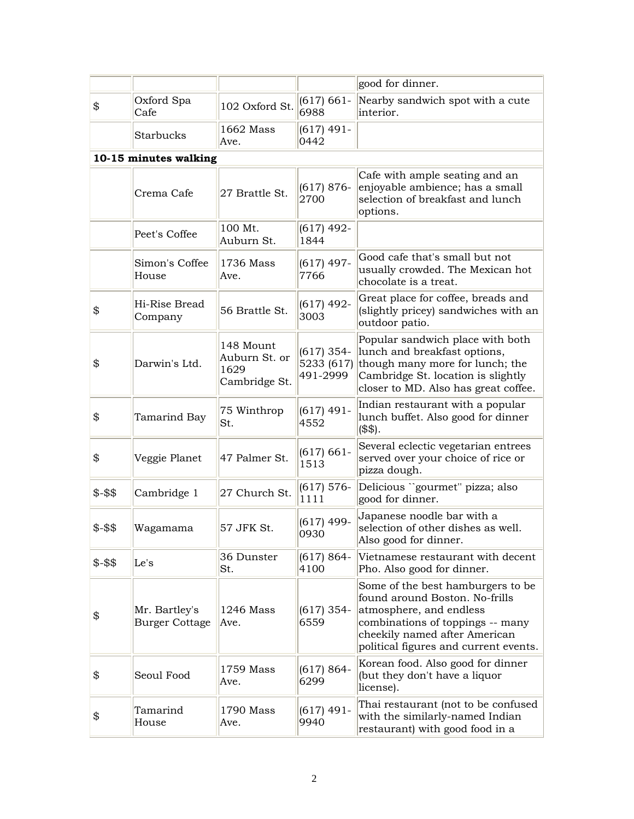|         |                                        |                                                     |                          | good for dinner.                                                                                                                                                                                              |  |  |  |  |
|---------|----------------------------------------|-----------------------------------------------------|--------------------------|---------------------------------------------------------------------------------------------------------------------------------------------------------------------------------------------------------------|--|--|--|--|
| \$      | Oxford Spa<br>Cafe                     | 102 Oxford St.                                      | $(617) 661 -$<br>6988    | Nearby sandwich spot with a cute<br>interior.                                                                                                                                                                 |  |  |  |  |
|         | Starbucks                              | 1662 Mass<br>Ave.                                   | (617) 491-<br>0442       |                                                                                                                                                                                                               |  |  |  |  |
|         | 10-15 minutes walking                  |                                                     |                          |                                                                                                                                                                                                               |  |  |  |  |
|         | Crema Cafe                             | 27 Brattle St.                                      | $(617) 876-$<br>2700     | Cafe with ample seating and an<br>enjoyable ambience; has a small<br>selection of breakfast and lunch<br>options.                                                                                             |  |  |  |  |
|         | Peet's Coffee                          | 100 Mt.<br>Auburn St.                               | $(617)$ 492-<br>1844     |                                                                                                                                                                                                               |  |  |  |  |
|         | Simon's Coffee<br>House                | 1736 Mass<br>Ave.                                   | $(617)$ 497-<br>7766     | Good cafe that's small but not<br>usually crowded. The Mexican hot<br>chocolate is a treat.                                                                                                                   |  |  |  |  |
| \$      | Hi-Rise Bread<br>Company               | 56 Brattle St.                                      | $(617)$ 492-<br>3003     | Great place for coffee, breads and<br>(slightly pricey) sandwiches with an<br>outdoor patio.                                                                                                                  |  |  |  |  |
| \$      | Darwin's Ltd.                          | 148 Mount<br>Auburn St. or<br>1629<br>Cambridge St. | $(617)$ 354-<br>491-2999 | Popular sandwich place with both<br>lunch and breakfast options,<br>5233 $(617)$ though many more for lunch; the<br>Cambridge St. location is slightly<br>closer to MD. Also has great coffee.                |  |  |  |  |
| \$      | Tamarind Bay                           | 75 Winthrop<br>St.                                  | (617) 491-<br>4552       | Indian restaurant with a popular<br>lunch buffet. Also good for dinner<br>(\$\$).                                                                                                                             |  |  |  |  |
| \$      | Veggie Planet                          | 47 Palmer St.                                       | $(617) 661 -$<br>1513    | Several eclectic vegetarian entrees<br>served over your choice of rice or<br>pizza dough.                                                                                                                     |  |  |  |  |
| $$ - $$ | Cambridge 1                            | 27 Church St.                                       | $(617) 576-$<br>1111     | Delicious "gourmet" pizza; also<br>good for dinner.                                                                                                                                                           |  |  |  |  |
| $$ - $$ | Wagamama                               | 57 JFK St.                                          | $(617)$ 499-<br>0930     | Japanese noodle bar with a<br>selection of other dishes as well.<br>Also good for dinner.                                                                                                                     |  |  |  |  |
| $$ - $$ | Le's                                   | 36 Dunster<br>St.                                   | $(617) 864 -$<br>4100    | Vietnamese restaurant with decent<br>Pho. Also good for dinner.                                                                                                                                               |  |  |  |  |
| \$      | Mr. Bartley's<br><b>Burger Cottage</b> | 1246 Mass<br>Ave.                                   | $(617)$ 354-<br>6559     | Some of the best hamburgers to be.<br>found around Boston. No-frills<br>atmosphere, and endless<br>combinations of toppings -- many<br>cheekily named after American<br>political figures and current events. |  |  |  |  |
| \$      | Seoul Food                             | 1759 Mass<br>Ave.                                   | $(617) 864 -$<br>6299    | Korean food. Also good for dinner<br>(but they don't have a liquor<br>license).                                                                                                                               |  |  |  |  |
| \$      | Tamarind<br>House                      | 1790 Mass<br>Ave.                                   | (617) 491-<br>9940       | Thai restaurant (not to be confused<br>with the similarly-named Indian<br>restaurant) with good food in a                                                                                                     |  |  |  |  |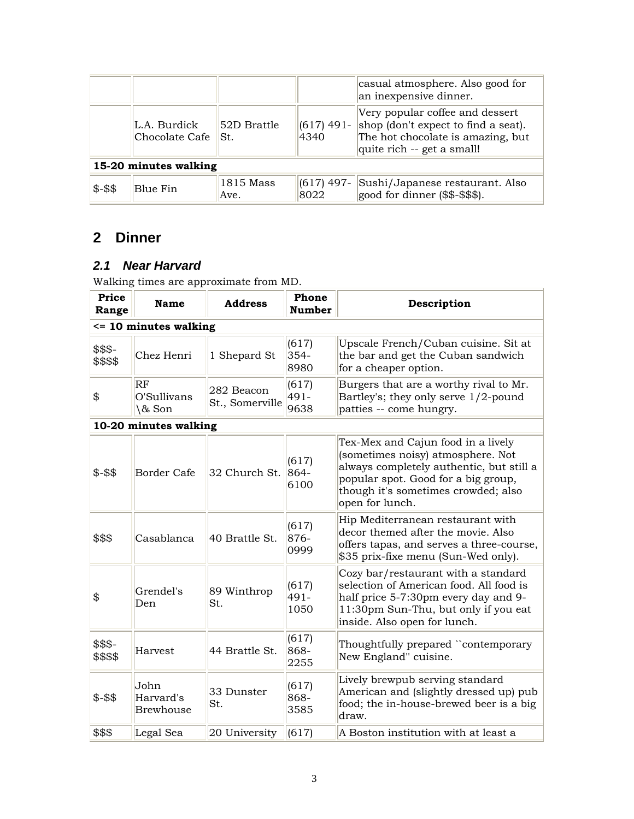|                       |                                      |                   |                      | casual atmosphere. Also good for<br>an inexpensive dinner.                                                                                |  |
|-----------------------|--------------------------------------|-------------------|----------------------|-------------------------------------------------------------------------------------------------------------------------------------------|--|
|                       | L.A. Burdick<br>Chocolate Cafe   St. | 52D Brattle       | $(617)$ 491-<br>4340 | Very popular coffee and dessert<br>shop (don't expect to find a seat).<br>The hot chocolate is amazing, but<br>quite rich -- get a small! |  |
| 15-20 minutes walking |                                      |                   |                      |                                                                                                                                           |  |
| $$ - $$               | Blue Fin                             | 1815 Mass<br>Ave. | $(617)$ 497-<br>8022 | Sushi/Japanese restaurant. Also<br>good for dinner (\$\$-\$\$\$).                                                                         |  |

# **2 Dinner**

#### *2.1 Near Harvard*

Walking times are approximate from MD.

| Price<br>Range           | Name                                  | <b>Address</b>                | Phone<br><b>Number</b> | Description                                                                                                                                                                                                          |  |  |  |
|--------------------------|---------------------------------------|-------------------------------|------------------------|----------------------------------------------------------------------------------------------------------------------------------------------------------------------------------------------------------------------|--|--|--|
| $\le$ 10 minutes walking |                                       |                               |                        |                                                                                                                                                                                                                      |  |  |  |
| \$\$\$-<br>\$\$\$\$      | Chez Henri                            | 1 Shepard St                  | (617)<br>354-<br>8980  | Upscale French/Cuban cuisine. Sit at<br>the bar and get the Cuban sandwich<br>for a cheaper option.                                                                                                                  |  |  |  |
| \$                       | RF<br>O'Sullivans<br>\& Son           | 282 Beacon<br>St., Somerville | (617)<br>491-<br>9638  | Burgers that are a worthy rival to Mr.<br>Bartley's; they only serve 1/2-pound<br>patties -- come hungry.                                                                                                            |  |  |  |
|                          | 10-20 minutes walking                 |                               |                        |                                                                                                                                                                                                                      |  |  |  |
| $$ - $$                  | <b>Border Cafe</b>                    | 32 Church St.                 | (617)<br>864-<br>6100  | Tex-Mex and Cajun food in a lively<br>(sometimes noisy) atmosphere. Not<br>always completely authentic, but still a<br>popular spot. Good for a big group,<br>though it's sometimes crowded; also<br>open for lunch. |  |  |  |
| \$\$\$                   | Casablanca                            | 40 Brattle St.                | (617)<br>876-<br>0999  | Hip Mediterranean restaurant with<br>decor themed after the movie. Also<br>offers tapas, and serves a three-course,<br>\$35 prix-fixe menu (Sun-Wed only).                                                           |  |  |  |
| \$                       | Grendel's<br>Den                      | 89 Winthrop<br>St.            | (617)<br>491-<br>1050  | Cozy bar/restaurant with a standard<br>selection of American food. All food is<br>half price 5-7:30pm every day and 9-<br>11:30pm Sun-Thu, but only if you eat<br>inside. Also open for lunch.                       |  |  |  |
| \$\$\$-<br>\$\$\$\$      | Harvest                               | 44 Brattle St.                | (617)<br>868-<br>2255  | Thoughtfully prepared "contemporary<br>New England" cuisine.                                                                                                                                                         |  |  |  |
| $$ - $$                  | John<br>Harvard's<br><b>Brewhouse</b> | 33 Dunster<br>St.             | (617)<br>868-<br>3585  | Lively brewpub serving standard<br>American and (slightly dressed up) pub<br>food; the in-house-brewed beer is a big<br>draw.                                                                                        |  |  |  |
| \$\$\$                   | Legal Sea                             | 20 University                 | (617)                  | A Boston institution with at least a                                                                                                                                                                                 |  |  |  |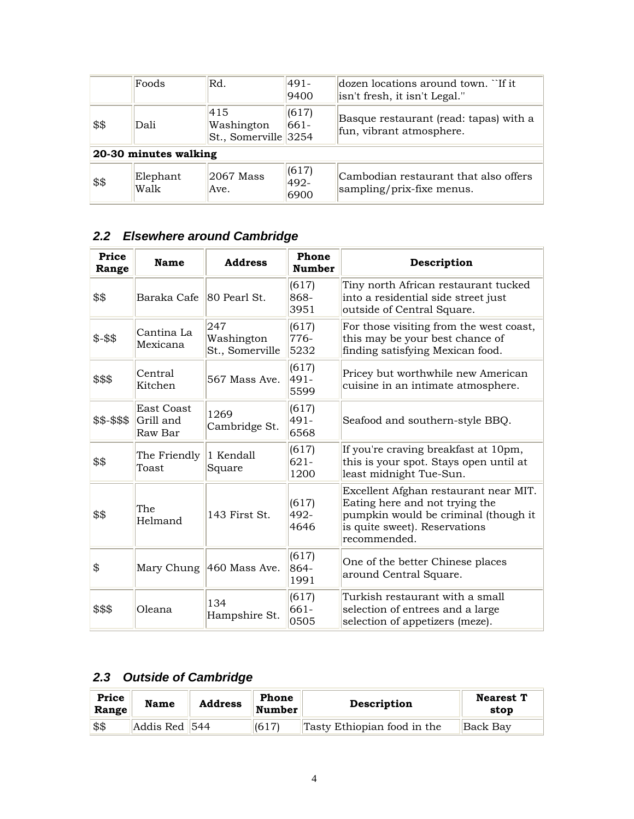|                       | Foods            | Rd.                                                | 491-<br>9400          | $d$ dozen locations around town. $\lceil$ if it<br>isn't fresh, it isn't Legal." |  |  |
|-----------------------|------------------|----------------------------------------------------|-----------------------|----------------------------------------------------------------------------------|--|--|
| \$\$                  | Dali             | 415<br>Washington<br>$\text{St.},$ Somerville 3254 | (617)<br>661-         | Basque restaurant (read: tapas) with a<br>fun, vibrant atmosphere.               |  |  |
| 20-30 minutes walking |                  |                                                    |                       |                                                                                  |  |  |
| \$\$                  | Elephant<br>Walk | 2067 Mass<br>Ave.                                  | (617)<br>492-<br>6900 | Cambodian restaurant that also offers<br>sampling/prix-fixe menus.               |  |  |

## *2.2 Elsewhere around Cambridge*

| Price<br>Range | <b>Name</b>                               | <b>Address</b>                       | Phone<br><b>Number</b>   | Description                                                                                                                                                       |
|----------------|-------------------------------------------|--------------------------------------|--------------------------|-------------------------------------------------------------------------------------------------------------------------------------------------------------------|
| \$\$           | Baraka Cafe 80 Pearl St.                  |                                      | (617)<br>868-<br>3951    | Tiny north African restaurant tucked<br>into a residential side street just<br>outside of Central Square.                                                         |
| $$ - $$        | Cantina La<br>Mexicana                    | 247<br>Washington<br>St., Somerville | (617)<br>776-<br>5232    | For those visiting from the west coast,<br>this may be your best chance of<br>finding satisfying Mexican food.                                                    |
| \$\$\$         | Central<br>Kitchen                        | 567 Mass Ave.                        | (617)<br>491-<br>5599    | Pricey but worthwhile new American<br>cuisine in an intimate atmosphere.                                                                                          |
| \$\$-\$\$\$    | <b>East Coast</b><br>Grill and<br>Raw Bar | 1269<br>Cambridge St.                | (617)<br>$491 -$<br>6568 | Seafood and southern-style BBQ.                                                                                                                                   |
| \$\$           | The Friendly<br>Toast                     | 1 Kendall<br>Square                  | (617)<br>$621 -$<br>1200 | If you're craving breakfast at 10pm,<br>this is your spot. Stays open until at<br>least midnight Tue-Sun.                                                         |
| \$\$           | The<br>Helmand                            | 143 First St.                        | (617)<br>492-<br>4646    | Excellent Afghan restaurant near MIT.<br>Eating here and not trying the<br>pumpkin would be criminal (though it<br>is quite sweet). Reservations<br> recommended. |
| \$             |                                           | Mary Chung 460 Mass Ave.             | (617)<br>864-<br>1991    | One of the better Chinese places<br>around Central Square.                                                                                                        |
| \$\$\$         | Oleana                                    | 134<br>Hampshire St.                 | (617)<br>661-<br>0505    | Turkish restaurant with a small<br>selection of entrees and a large<br>selection of appetizers (meze).                                                            |

### *2.3 Outside of Cambridge*

| Price<br>Range | <b>Name</b>   | <b>Address</b> | Phone<br><b>Number</b> | Description                 | <b>Nearest T</b><br>stop |
|----------------|---------------|----------------|------------------------|-----------------------------|--------------------------|
| \$\$           | Addis Red 544 |                | (617)                  | Tasty Ethiopian food in the | Back Bay                 |